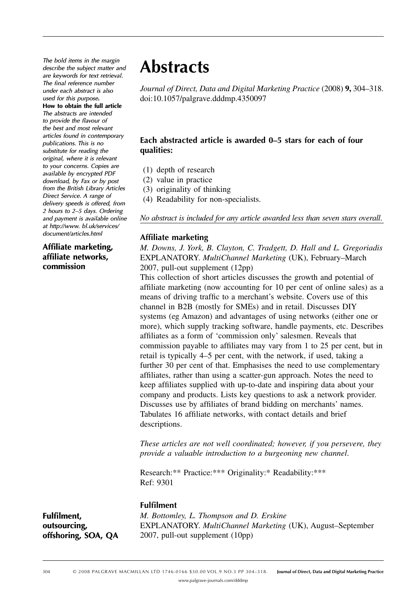*The bold items in the margin describe the subject matter and are keywords for text retrieval. for The final reference number under each abstract is also used for this purpose***. How to obtain the full article** *The abstracts are intended*  to provide the flavour of *the best and most relevant articles found in contemporary publications. This is no substitute for reading the original, where it is relevant to your concerns. Copies are available by encrypted PDF download, by Fax or by post from the British Library Articles Direct Service. A range of delivery speeds is offered, from 2 hours to 2 – 5 days. Ordering and payment is available online at http: / / www. bl.uk / services / document / articles.html*

Affiliate marketing, **affi liate networks, commission** 

# **Abstracts**

*Journal of Direct, Data and Digital Marketing Practice* (2008) 9, 304–318. doi: 10.1057/palgrave.dddmp.4350097

## Each abstracted article is awarded 0-5 stars for each of four **qualities:**

- (1) depth of research
- (2) value in practice
- (3) originality of thinking
- (4) Readability for non-specialists.

#### *No abstract is included for any article awarded less than seven stars overall* .

#### **Affiliate marketing**

 *M. Downs, J. York, B. Clayton, C. Tradgett, D. Hall and L. Gregoriadis*  E XPLANATORY . *MultiChannel Marketing* (UK), February – March 2007, pull-out supplement (12pp)

 This collection of short articles discusses the growth and potential of affiliate marketing (now accounting for 10 per cent of online sales) as a means of driving traffic to a merchant's website. Covers use of this channel in B2B (mostly for SMEs) and in retail. Discusses DIY systems (eg Amazon) and advantages of using networks (either one or more), which supply tracking software, handle payments, etc. Describes affiliates as a form of 'commission only' salesmen. Reveals that commission payable to affiliates may vary from 1 to 25 per cent, but in retail is typically 4–5 per cent, with the network, if used, taking a further 30 per cent of that. Emphasises the need to use complementary affiliates, rather than using a scatter-gun approach. Notes the need to keep affiliates supplied with up-to-date and inspiring data about your company and products. Lists key questions to ask a network provider. Discusses use by affiliates of brand bidding on merchants' names. Tabulates 16 affiliate networks, with contact details and brief descriptions.

*These articles are not well coordinated; however, if you persevere, they provide a valuable introduction to a burgeoning new channel.* 

Research: \*\* Practice: \*\*\* Originality: \* Readability: \*\*\* Ref: 9301

#### **Fulfilment**

**Fulfilment, outsourcing, offshoring, SOA, QA**   *M. Bottomley, L. Thompson and D. Erskine*  EXPLANATORY. *MultiChannel Marketing* (UK), August-September 2007, pull-out supplement (10pp)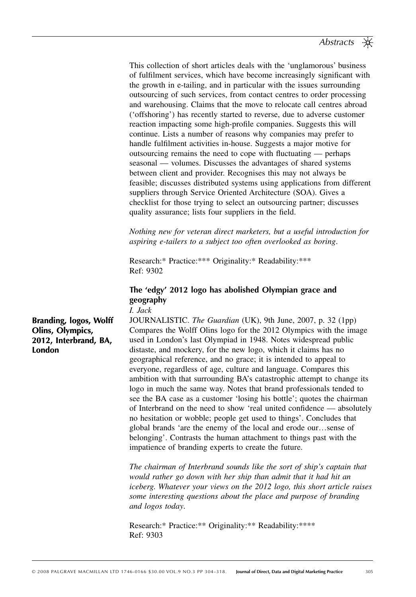This collection of short articles deals with the 'unglamorous' business of fulfilment services, which have become increasingly significant with the growth in e-tailing, and in particular with the issues surrounding outsourcing of such services, from contact centres to order processing and warehousing. Claims that the move to relocate call centres abroad ('offshoring') has recently started to reverse, due to adverse customer reaction impacting some high-profile companies. Suggests this will continue. Lists a number of reasons why companies may prefer to handle fulfilment activities in-house. Suggests a major motive for outsourcing remains the need to cope with fluctuating  $-$  perhaps seasonal — volumes. Discusses the advantages of shared systems between client and provider. Recognises this may not always be feasible; discusses distributed systems using applications from different suppliers through Service Oriented Architecture (SOA). Gives a checklist for those trying to select an outsourcing partner; discusses quality assurance; lists four suppliers in the field.

*Nothing new for veteran direct marketers, but a useful introduction for aspiring e-tailers to a subject too often overlooked as boring* .

Research:\* Practice: \*\*\* Originality: \* Readability: \*\*\* Ref: 9302

## The 'edgy' 2012 logo has abolished Olympian grace and **geography**

 *I. Jack* 

**Branding, logos, Wolff Olins, Olympics, 2012, Interbrand, BA, London** 

 J OURNALISTIC . *The Guardian* (UK), 9th June, 2007, p. 32 (1pp) Compares the Wolff Olins logo for the 2012 Olympics with the image used in London's last Olympiad in 1948. Notes widespread public distaste, and mockery, for the new logo, which it claims has no geographical reference, and no grace; it is intended to appeal to everyone, regardless of age, culture and language. Compares this ambition with that surrounding BA's catastrophic attempt to change its logo in much the same way. Notes that brand professionals tended to see the BA case as a customer 'losing his bottle'; quotes the chairman of Interbrand on the need to show 'real united confidence — absolutely no hesitation or wobble; people get used to things'. Concludes that global brands 'are the enemy of the local and erode our...sense of belonging'. Contrasts the human attachment to things past with the impatience of branding experts to create the future.

*The chairman of Interbrand sounds like the sort of ship's captain that would rather go down with her ship than admit that it had hit an iceberg. Whatever your views on the 2012 logo, this short article raises some interesting questions about the place and purpose of branding and logos today* .

Research:\* Practice: \*\* Originality: \*\* Readability: \*\*\*\* Ref: 9303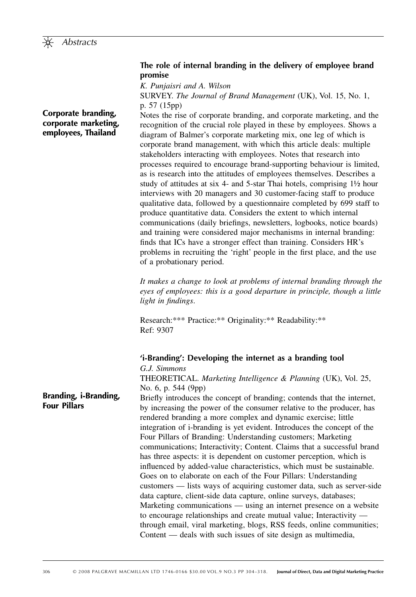

**Corporate branding, corporate marketing, employees, Thailand**

#### **The role of internal branding in the delivery of employee brand promise**

 *K. Punjaisri and A. Wilson* 

 S URVEY . *The Journal of Brand Management* (UK), Vol. 15, No. 1, p. 57 (15pp)

 Notes the rise of corporate branding, and corporate marketing, and the recognition of the crucial role played in these by employees. Shows a diagram of Balmer's corporate marketing mix, one leg of which is corporate brand management, with which this article deals: multiple stakeholders interacting with employees. Notes that research into processes required to encourage brand-supporting behaviour is limited, as is research into the attitudes of employees themselves. Describes a study of attitudes at six 4- and 5-star Thai hotels, comprising  $1\frac{1}{2}$  hour interviews with 20 managers and 30 customer-facing staff to produce qualitative data, followed by a questionnaire completed by 699 staff to produce quantitative data. Considers the extent to which internal communications (daily briefings, newsletters, logbooks, notice boards) and training were considered major mechanisms in internal branding: finds that ICs have a stronger effect than training. Considers HR's problems in recruiting the 'right' people in the first place, and the use of a probationary period.

*It makes a change to look at problems of internal branding through the eyes of employees: this is a good departure in principle, though a little light in findings.* 

Research: \*\*\* Practice: \*\* Originality: \*\* Readability: \*\* Ref: 9307

## **' i-Branding ' : Developing the internet as a branding tool**

 *G.J. Simmons*  T HEORETICAL . *Marketing Intelligence & Planning* (UK), Vol. 25, No. 6, p. 544 (9pp) Briefly introduces the concept of branding; contends that the internet, by increasing the power of the consumer relative to the producer, has rendered branding a more complex and dynamic exercise; little integration of i-branding is yet evident. Introduces the concept of the Four Pillars of Branding: Understanding customers; Marketing communications; Interactivity; Content. Claims that a successful brand has three aspects: it is dependent on customer perception, which is influenced by added-value characteristics, which must be sustainable. Goes on to elaborate on each of the Four Pillars: Understanding customers — lists ways of acquiring customer data, such as server-side data capture, client-side data capture, online surveys, databases; Marketing communications — using an internet presence on a website to encourage relationships and create mutual value; Interactivity through email, viral marketing, blogs, RSS feeds, online communities; Content — deals with such issues of site design as multimedia,

**Branding, i-Branding, Four Pillars**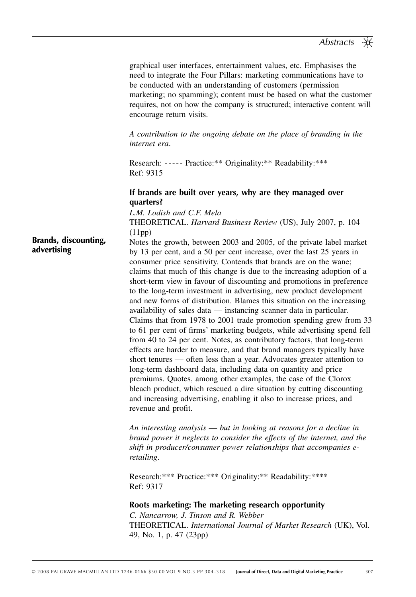| graphical user interfaces, entertainment values, etc. Emphasises the     |  |
|--------------------------------------------------------------------------|--|
| need to integrate the Four Pillars: marketing communications have to     |  |
| be conducted with an understanding of customers (permission              |  |
| marketing; no spamming); content must be based on what the customer      |  |
| requires, not on how the company is structured; interactive content will |  |
| encourage return visits.                                                 |  |

*A contribution to the ongoing debate on the place of branding in the internet era* .

Research: ----- Practice: \*\* Originality: \*\* Readability: \*\*\* Ref: 9315

#### **If brands are built over years, why are they managed over quarters?**

 *L.M. Lodish and C.F. Mela*  T HEORETICAL . *Harvard Business Review* (US), July 2007, p. 104  $(11pp)$ 

 Notes the growth, between 2003 and 2005, of the private label market by 13 per cent, and a 50 per cent increase, over the last 25 years in consumer price sensitivity. Contends that brands are on the wane; claims that much of this change is due to the increasing adoption of a short-term view in favour of discounting and promotions in preference to the long-term investment in advertising, new product development and new forms of distribution. Blames this situation on the increasing availability of sales data — instancing scanner data in particular. Claims that from 1978 to 2001 trade promotion spending grew from 33 to 61 per cent of firms' marketing budgets, while advertising spend fell from 40 to 24 per cent. Notes, as contributory factors, that long-term effects are harder to measure, and that brand managers typically have short tenures — often less than a year. Advocates greater attention to long-term dashboard data, including data on quantity and price premiums. Quotes, among other examples, the case of the Clorox bleach product, which rescued a dire situation by cutting discounting and increasing advertising, enabling it also to increase prices, and revenue and profit. **Brands, discounting, advertising**

> *An interesting analysis* — *but in looking at reasons for a decline in brand power it neglects to consider the effects of the internet, and the*  shift in producer/consumer power relationships that accompanies e*retailing* .

Research: \*\*\* Practice: \*\*\* Originality: \*\* Readability: \*\*\*\* Ref: 9317

#### **Roots marketing: The marketing research opportunity**

 *C. Nancarrow, J. Tinson and R. Webber*  T HEORETICAL . *International Journal of Market Research* (UK), Vol. 49, No. 1, p. 47 (23pp)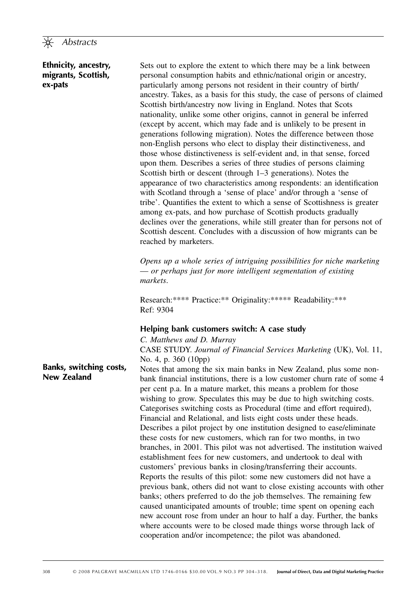#### **Ethnicity, ancestry, migrants, Scottish, ex-pats**

 Sets out to explore the extent to which there may be a link between personal consumption habits and ethnic/national origin or ancestry, particularly among persons not resident in their country of birth ancestry. Takes, as a basis for this study, the case of persons of claimed Scottish birth/ancestry now living in England. Notes that Scots nationality, unlike some other origins, cannot in general be inferred (except by accent, which may fade and is unlikely to be present in generations following migration). Notes the difference between those non-English persons who elect to display their distinctiveness, and those whose distinctiveness is self-evident and, in that sense, forced upon them. Describes a series of three studies of persons claiming Scottish birth or descent (through  $1-3$  generations). Notes the appearance of two characteristics among respondents: an identification with Scotland through a 'sense of place' and/or through a 'sense of tribe'. Quantifies the extent to which a sense of Scottishness is greater among ex-pats, and how purchase of Scottish products gradually declines over the generations, while still greater than for persons not of Scottish descent. Concludes with a discussion of how migrants can be reached by marketers.

*Opens up a whole series of intriguing possibilities for niche marketing* — *or perhaps just for more intelligent segmentation of existing markets* .

Research: \*\*\*\* Practice: \*\* Originality: \*\*\*\*\* Readability: \*\*\* Ref: 9304

#### **Helping bank customers switch: A case study**

 *C. Matthews and D. Murray* 

 C ASE S TUDY . *Journal of Financial Services Marketing* (UK), Vol. 11, No. 4, p. 360 (10pp)

 Notes that among the six main banks in New Zealand, plus some nonbank financial institutions, there is a low customer churn rate of some 4 per cent p.a. In a mature market, this means a problem for those wishing to grow. Speculates this may be due to high switching costs. Categorises switching costs as Procedural (time and effort required), Financial and Relational, and lists eight costs under these heads. Describes a pilot project by one institution designed to ease/eliminate these costs for new customers, which ran for two months, in two branches, in 2001. This pilot was not advertised. The institution waived establishment fees for new customers, and undertook to deal with customers' previous banks in closing/transferring their accounts. Reports the results of this pilot: some new customers did not have a previous bank, others did not want to close existing accounts with other banks; others preferred to do the job themselves. The remaining few caused unanticipated amounts of trouble; time spent on opening each new account rose from under an hour to half a day. Further, the banks where accounts were to be closed made things worse through lack of cooperation and/or incompetence; the pilot was abandoned.

## **Banks, switching costs, New Zealand**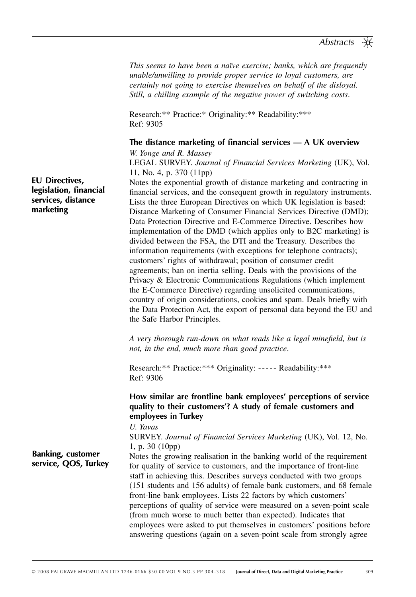*This seems to have been a naïve exercise; banks, which are frequently unable/unwilling to provide proper service to loyal customers, are certainly not going to exercise themselves on behalf of the disloyal. Still, a chilling example of the negative power of switching costs* .

Research: \*\* Practice: \* Originality: \*\* Readability: \*\*\* Ref: 9305

The distance marketing of financial services — A UK overview  *W. Yonge and R. Massey* 

LEGAL SURVEY. *Journal of Financial Services Marketing* (UK), Vol. 11, No. 4, p. 370 (11pp)

 Notes the exponential growth of distance marketing and contracting in financial services, and the consequent growth in regulatory instruments. Lists the three European Directives on which UK legislation is based: Distance Marketing of Consumer Financial Services Directive (DMD); Data Protection Directive and E-Commerce Directive. Describes how implementation of the DMD (which applies only to B2C marketing) is divided between the FSA, the DTI and the Treasury. Describes the information requirements (with exceptions for telephone contracts); customers' rights of withdrawal; position of consumer credit agreements; ban on inertia selling. Deals with the provisions of the Privacy & Electronic Communications Regulations (which implement the E-Commerce Directive) regarding unsolicited communications, country of origin considerations, cookies and spam. Deals briefly with the Data Protection Act, the export of personal data beyond the EU and the Safe Harbor Principles.

A very thorough run-down on what reads like a legal minefield, but is *not, in the end, much more than good practice* .

Research: \*\* Practice: \*\*\* Originality: ----- Readability: \*\*\* Ref: 9306

#### How similar are frontline bank employees' perceptions of service quality to their customers'? A study of female customers and **employees in Turkey**

 *U. Yavas* 

 S URVEY . *Journal of Financial Services Marketing* (UK), Vol. 12, No. 1, p. 30 (10pp)

**Banking, customer service, QOS, Turkey**

 Notes the growing realisation in the banking world of the requirement for quality of service to customers, and the importance of front-line staff in achieving this. Describes surveys conducted with two groups (151 students and 156 adults) of female bank customers, and 68 female front-line bank employees. Lists 22 factors by which customers ' perceptions of quality of service were measured on a seven-point scale (from much worse to much better than expected). Indicates that employees were asked to put themselves in customers' positions before answering questions (again on a seven-point scale from strongly agree

**EU Directives, legislation, financial services, distance marketing**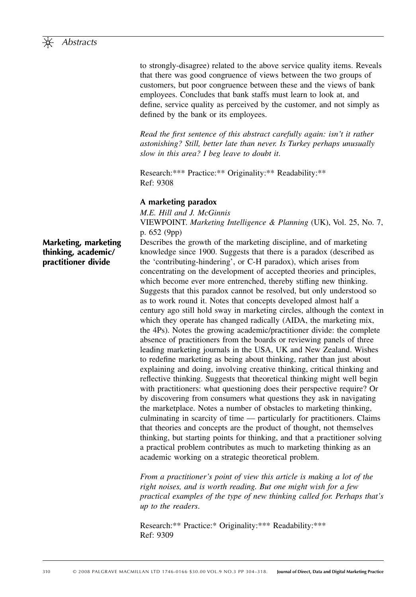

to strongly-disagree) related to the above service quality items. Reveals that there was good congruence of views between the two groups of customers, but poor congruence between these and the views of bank employees. Concludes that bank staffs must learn to look at, and define, service quality as perceived by the customer, and not simply as defined by the bank or its employees.

*Read the first sentence of this abstract carefully again: isn't it rather astonishing? Still, better late than never. Is Turkey perhaps unusually slow in this area? I beg leave to doubt it* .

Research: \*\*\* Practice: \*\* Originality: \*\* Readability: \*\* Ref: 9308

#### **A marketing paradox**

 *M.E. Hill and J. McGinnis*  V IEWPOINT . *Marketing Intelligence & Planning* (UK), Vol. 25, No. 7, p. 652 (9pp)

 Describes the growth of the marketing discipline, and of marketing knowledge since 1900. Suggests that there is a paradox (described as the 'contributing-hindering', or C-H paradox), which arises from concentrating on the development of accepted theories and principles, which become ever more entrenched, thereby stifling new thinking. Suggests that this paradox cannot be resolved, but only understood so as to work round it. Notes that concepts developed almost half a century ago still hold sway in marketing circles, although the context in which they operate has changed radically (AIDA, the marketing mix, the 4Ps). Notes the growing academic/practitioner divide: the complete absence of practitioners from the boards or reviewing panels of three leading marketing journals in the USA, UK and New Zealand. Wishes to redefine marketing as being about thinking, rather than just about explaining and doing, involving creative thinking, critical thinking and reflective thinking. Suggests that theoretical thinking might well begin with practitioners: what questioning does their perspective require? Or by discovering from consumers what questions they ask in navigating the marketplace. Notes a number of obstacles to marketing thinking, culminating in scarcity of time — particularly for practitioners. Claims that theories and concepts are the product of thought, not themselves thinking, but starting points for thinking, and that a practitioner solving a practical problem contributes as much to marketing thinking as an academic working on a strategic theoretical problem.

*From a practitioner's point of view this article is making a lot of the right noises, and is worth reading. But one might wish for a few practical examples of the type of new thinking called for. Perhaps that ' s up to the readers* .

Research: \*\* Practice: \* Originality: \*\*\* Readability: \*\*\* Ref: 9309

**Marketing, marketing thinking, academic/ practitioner divide**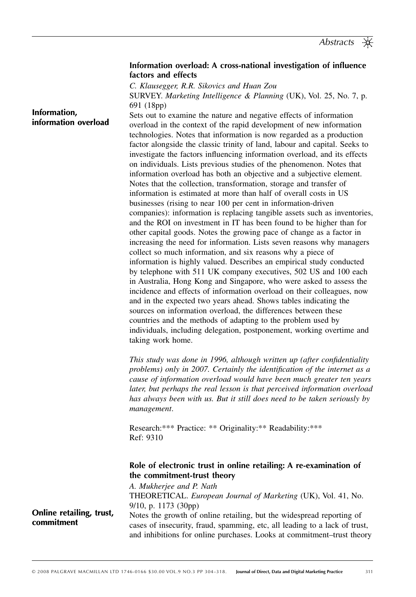#### Information overload: A cross-national investigation of influence **factors and effects**

 *C. Klausegger, R.R. Sikovics and Huan Zou* 

 S URVEY . *Marketing Intelligence & Planning* (UK), Vol. 25, No. 7, p. 691 (18pp)

 Sets out to examine the nature and negative effects of information overload in the context of the rapid development of new information technologies. Notes that information is now regarded as a production factor alongside the classic trinity of land, labour and capital. Seeks to investigate the factors influencing information overload, and its effects on individuals. Lists previous studies of the phenomenon. Notes that information overload has both an objective and a subjective element. Notes that the collection, transformation, storage and transfer of information is estimated at more than half of overall costs in US businesses (rising to near 100 per cent in information-driven companies): information is replacing tangible assets such as inventories, and the ROI on investment in IT has been found to be higher than for other capital goods. Notes the growing pace of change as a factor in increasing the need for information. Lists seven reasons why managers collect so much information, and six reasons why a piece of information is highly valued. Describes an empirical study conducted by telephone with 511 UK company executives, 502 US and 100 each in Australia, Hong Kong and Singapore, who were asked to assess the incidence and effects of information overload on their colleagues, now and in the expected two years ahead. Shows tables indicating the sources on information overload, the differences between these countries and the methods of adapting to the problem used by individuals, including delegation, postponement, working overtime and taking work home. **information overload**

> *This study was done in 1996, although written up (after confidentiality problems) only in 2007. Certainly the identification of the internet as a cause of information overload would have been much greater ten years later, but perhaps the real lesson is that perceived information overload has always been with us. But it still does need to be taken seriously by management* .

Research: \*\*\* Practice: \*\* Originality: \*\* Readability: \*\*\* Ref: 9310

#### **Role of electronic trust in online retailing: A re-examination of the commitment-trust theory**

 *A. Mukherjee and P. Nath*  T HEORETICAL . *European Journal of Marketing* (UK), Vol. 41, No. 9/10, p. 1173 (30pp) Notes the growth of online retailing, but the widespread reporting of cases of insecurity, fraud, spamming, etc, all leading to a lack of trust, and inhibitions for online purchases. Looks at commitment-trust theory

**Online retailing, trust, commitment**

**Information,**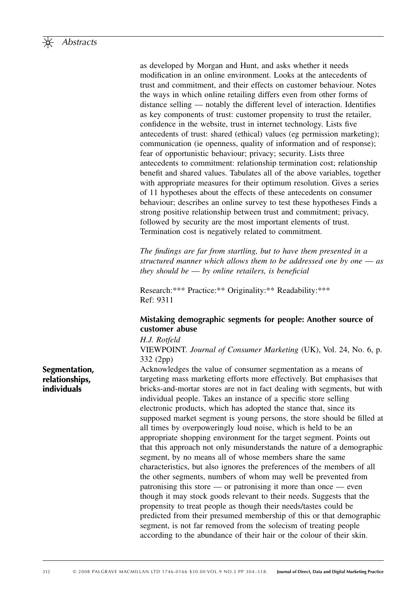

as developed by Morgan and Hunt, and asks whether it needs modification in an online environment. Looks at the antecedents of trust and commitment, and their effects on customer behaviour. Notes the ways in which online retailing differs even from other forms of  $distance$  selling  $-$  notably the different level of interaction. Identifies as key components of trust: customer propensity to trust the retailer, confidence in the website, trust in internet technology. Lists five antecedents of trust: shared (ethical) values (eg permission marketing); communication (ie openness, quality of information and of response); fear of opportunistic behaviour; privacy; security. Lists three antecedents to commitment: relationship termination cost; relationship benefit and shared values. Tabulates all of the above variables, together with appropriate measures for their optimum resolution. Gives a series of 11 hypotheses about the effects of these antecedents on consumer behaviour; describes an online survey to test these hypotheses Finds a strong positive relationship between trust and commitment; privacy, followed by security are the most important elements of trust. Termination cost is negatively related to commitment.

*The findings are far from startling, but to have them presented in a structured manner which allows them to be addressed one by one* — *as they should be — by online retailers, is beneficial* 

Research: \*\*\* Practice: \*\* Originality: \*\* Readability: \*\*\* Ref: 9311

#### **Mistaking demographic segments for people: Another source of customer abuse**

 *H.J. Rotfeld* 

 V IEWPOINT . *Journal of Consumer Marketing* (UK), Vol. 24, No. 6, p. 332 (2pp)

 Acknowledges the value of consumer segmentation as a means of targeting mass marketing efforts more effectively. But emphasises that bricks-and-mortar stores are not in fact dealing with segments, but with individual people. Takes an instance of a specific store selling electronic products, which has adopted the stance that, since its supposed market segment is young persons, the store should be filled at all times by overpoweringly loud noise, which is held to be an appropriate shopping environment for the target segment. Points out that this approach not only misunderstands the nature of a demographic segment, by no means all of whose members share the same characteristics, but also ignores the preferences of the members of all the other segments, numbers of whom may well be prevented from patronising this store — or patronising it more than once — even though it may stock goods relevant to their needs. Suggests that the propensity to treat people as though their needs/tastes could be predicted from their presumed membership of this or that demographic segment, is not far removed from the solecism of treating people according to the abundance of their hair or the colour of their skin.

#### **Segmentation, relationships, individuals**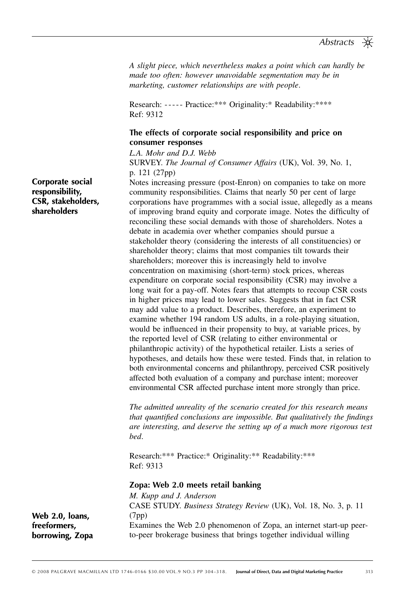*A slight piece, which nevertheless makes a point which can hardly be made too often: however unavoidable segmentation may be in marketing, customer relationships are with people* .

Research: ----- Practice: \*\*\* Originality: \* Readability: \*\*\*\* Ref: 9312

#### **The effects of corporate social responsibility and price on consumer responses**

 *L.A. Mohr and D.J. Webb* 

 S URVEY . *The Journal of Consumer Affairs* (UK), Vol. 39, No. 1, p. 121 (27pp)

 Notes increasing pressure (post-Enron) on companies to take on more community responsibilities. Claims that nearly 50 per cent of large corporations have programmes with a social issue, allegedly as a means of improving brand equity and corporate image. Notes the difficulty of reconciling these social demands with those of shareholders. Notes a debate in academia over whether companies should pursue a stakeholder theory (considering the interests of all constituencies) or shareholder theory; claims that most companies tilt towards their shareholders; moreover this is increasingly held to involve concentration on maximising (short-term) stock prices, whereas expenditure on corporate social responsibility (CSR) may involve a long wait for a pay-off. Notes fears that attempts to recoup CSR costs in higher prices may lead to lower sales. Suggests that in fact CSR may add value to a product. Describes, therefore, an experiment to examine whether 194 random US adults, in a role-playing situation, would be influenced in their propensity to buy, at variable prices, by the reported level of CSR (relating to either environmental or philanthropic activity) of the hypothetical retailer. Lists a series of hypotheses, and details how these were tested. Finds that, in relation to both environmental concerns and philanthropy, perceived CSR positively affected both evaluation of a company and purchase intent; moreover environmental CSR affected purchase intent more strongly than price.

*The admitted unreality of the scenario created for this research means that quantified conclusions are impossible. But qualitatively the findings are interesting, and deserve the setting up of a much more rigorous test bed* .

Research: \*\*\* Practice: \* Originality: \*\* Readability: \*\*\* Ref: 9313

#### **Zopa: Web 2.0 meets retail banking**

 *M. Kupp and J. Anderson*  CASE STUDY. *Business Strategy Review* (UK), Vol. 18, No. 3, p. 11 (7pp) Examines the Web 2.0 phenomenon of Zopa, an internet start-up peerto-peer brokerage business that brings together individual willing

**Corporate social responsibility, CSR, stakeholders, shareholders**

**Web 2.0, loans, freeformers, borrowing, Zopa**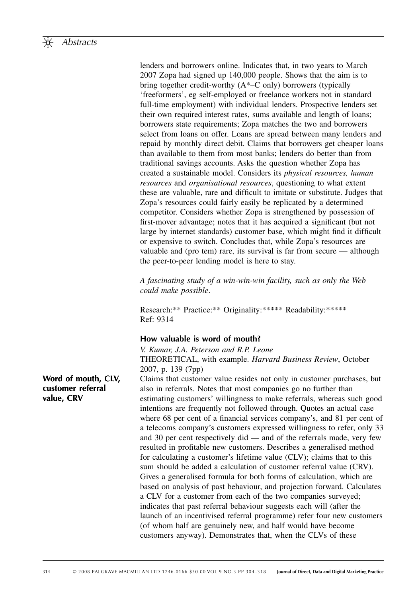lenders and borrowers online. Indicates that, in two years to March 2007 Zopa had signed up 140,000 people. Shows that the aim is to bring together credit-worthy  $(A^*$ –C only) borrowers (typically 'freeformers', eg self-employed or freelance workers not in standard full-time employment) with individual lenders. Prospective lenders set their own required interest rates, sums available and length of loans; borrowers state requirements; Zopa matches the two and borrowers select from loans on offer. Loans are spread between many lenders and repaid by monthly direct debit. Claims that borrowers get cheaper loans than available to them from most banks; lenders do better than from traditional savings accounts. Asks the question whether Zopa has created a sustainable model. Considers its *physical resources, human resources* and *organisational resources*, questioning to what extent these are valuable, rare and difficult to imitate or substitute. Judges that Zopa's resources could fairly easily be replicated by a determined competitor. Considers whether Zopa is strengthened by possession of first-mover advantage; notes that it has acquired a significant (but not large by internet standards) customer base, which might find it difficult or expensive to switch. Concludes that, while Zopa's resources are valuable and (pro tem) rare, its survival is far from secure — although the peer-to-peer lending model is here to stay.

*A fascinating study of a win-win-win facility, such as only the Web could make possible* .

Research: \*\* Practice: \*\* Originality: \*\*\*\*\* Readability: \*\*\*\*\* Ref: 9314

## **How valuable is word of mouth?**

 *V. Kumar, J.A. Peterson and R.P. Leone*  THEORETICAL, with example. *Harvard Business Review*, October 2007, p. 139 (7pp)

 Claims that customer value resides not only in customer purchases, but also in referrals. Notes that most companies go no further than estimating customers' willingness to make referrals, whereas such good intentions are frequently not followed through. Quotes an actual case where 68 per cent of a financial services company's, and 81 per cent of a telecoms company's customers expressed willingness to refer, only 33 and 30 per cent respectively did — and of the referrals made, very few resulted in profitable new customers. Describes a generalised method for calculating a customer's lifetime value (CLV); claims that to this sum should be added a calculation of customer referral value (CRV). Gives a generalised formula for both forms of calculation, which are based on analysis of past behaviour, and projection forward. Calculates a CLV for a customer from each of the two companies surveyed; indicates that past referral behaviour suggests each will (after the launch of an incentivised referral programme) refer four new customers (of whom half are genuinely new, and half would have become customers anyway). Demonstrates that, when the CLVs of these

**Word of mouth, CLV, customer referral value, CRV**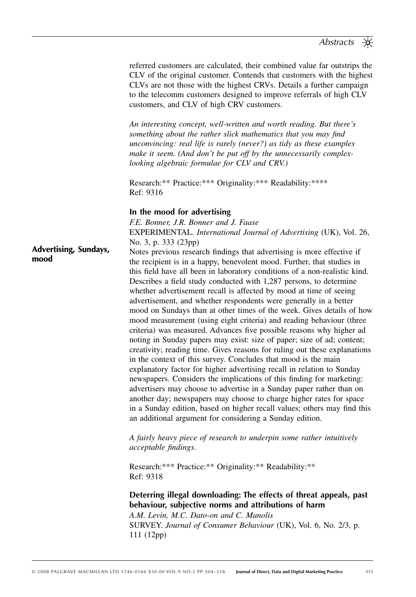referred customers are calculated, their combined value far outstrips the CLV of the original customer. Contends that customers with the highest CLVs are not those with the highest CRVs. Details a further campaign to the telecomm customers designed to improve referrals of high CLV customers, and CLV of high CRV customers.

An interesting concept, well-written and worth reading. But there's *something about the rather slick mathematics that you may find unconvincing: real life is rarely (never?) as tidy as these examples*  make it seem. (And don't be put off by the unnecessarily complex*looking algebraic formulae for CLV and CRV.)*

Research: \*\* Practice: \*\*\* Originality: \*\*\* Readability: \*\*\*\* Ref: 9316

#### **In the mood for advertising**

 *F.E. Bonner, J.R. Bonner and J. Faase*  E XPERIMENTAL . *International Journal of Advertising* (UK), Vol. 26, No. 3, p. 333 (23pp)

Notes previous research findings that advertising is more effective if the recipient is in a happy, benevolent mood. Further, that studies in this field have all been in laboratory conditions of a non-realistic kind. Describes a field study conducted with 1,287 persons, to determine whether advertisement recall is affected by mood at time of seeing advertisement, and whether respondents were generally in a better **Advertising, Sundays, mood**

mood on Sundays than at other times of the week. Gives details of how mood measurement (using eight criteria) and reading behaviour (three criteria) was measured. Advances five possible reasons why higher ad noting in Sunday papers may exist: size of paper; size of ad; content; creativity; reading time. Gives reasons for ruling out these explanations in the context of this survey. Concludes that mood is the main explanatory factor for higher advertising recall in relation to Sunday newspapers. Considers the implications of this finding for marketing: advertisers may choose to advertise in a Sunday paper rather than on another day; newspapers may choose to charge higher rates for space in a Sunday edition, based on higher recall values; others may find this an additional argument for considering a Sunday edition.

*A fairly heavy piece of research to underpin some rather intuitively acceptable findings.* 

Research: \*\*\* Practice: \*\* Originality: \*\* Readability: \*\* Ref: 9318

**Deterring illegal downloading: The effects of threat appeals, past behaviour, subjective norms and attributions of harm** 

 *A.M. Levin, M.C. Dato-on and C. Manolis*  SURVEY. *Journal of Consumer Behaviour* (UK), Vol. 6, No. 2/3, p. 111 (12pp)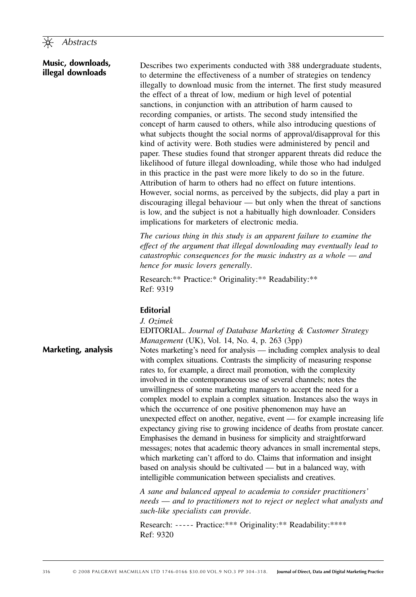#### **Music, downloads, illegal downloads**

 Describes two experiments conducted with 388 undergraduate students, to determine the effectiveness of a number of strategies on tendency illegally to download music from the internet. The first study measured the effect of a threat of low, medium or high level of potential sanctions, in conjunction with an attribution of harm caused to recording companies, or artists. The second study intensified the concept of harm caused to others, while also introducing questions of what subjects thought the social norms of approval/disapproval for this kind of activity were. Both studies were administered by pencil and paper. These studies found that stronger apparent threats did reduce the likelihood of future illegal downloading, while those who had indulged in this practice in the past were more likely to do so in the future. Attribution of harm to others had no effect on future intentions. However, social norms, as perceived by the subjects, did play a part in discouraging illegal behaviour — but only when the threat of sanctions is low, and the subject is not a habitually high downloader. Considers implications for marketers of electronic media.

*The curious thing in this study is an apparent failure to examine the effect of the argument that illegal downloading may eventually lead to catastrophic consequences for the music industry as a whole* — *and hence for music lovers generally* .

Research: \*\* Practice: \* Originality: \*\* Readability: \*\* Ref: 9319

## **Editorial**

 *J. Ozimek* 

 E DITORIAL . *Journal of Database Marketing & Customer Strategy Management* (UK), Vol. 14, No. 4, p. 263 (3pp) Notes marketing's need for analysis — including complex analysis to deal with complex situations. Contrasts the simplicity of measuring response rates to, for example, a direct mail promotion, with the complexity involved in the contemporaneous use of several channels; notes the unwillingness of some marketing managers to accept the need for a complex model to explain a complex situation. Instances also the ways in which the occurrence of one positive phenomenon may have an unexpected effect on another, negative, event — for example increasing life expectancy giving rise to growing incidence of deaths from prostate cancer. Emphasises the demand in business for simplicity and straightforward messages; notes that academic theory advances in small incremental steps, which marketing can't afford to do. Claims that information and insight based on analysis should be cultivated — but in a balanced way, with intelligible communication between specialists and creatives. **Marketing, analysis**

> *A sane and balanced appeal to academia to consider practitioners ' needs* — *and to practitioners not to reject or neglect what analysts and such-like specialists can provide* .

Research: ----- Practice: \*\*\* Originality: \*\* Readability: \*\*\*\* Ref: 9320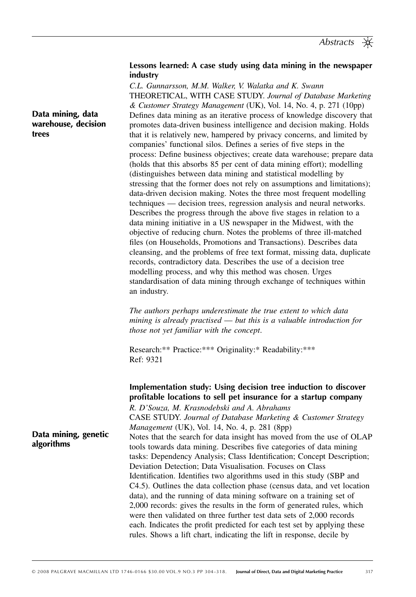#### **Lessons learned: A case study using data mining in the newspaper industry**

 *C.L. Gunnarsson, M.M. Walker, V. Walatka and K. Swann*  T HEORETICAL , WITH C ASE S TUDY . *Journal of Database Marketing & Customer Strategy Management* (UK), Vol. 14, No. 4, p. 271 (10pp) Defines data mining as an iterative process of knowledge discovery that promotes data-driven business intelligence and decision making. Holds that it is relatively new, hampered by privacy concerns, and limited by companies' functional silos. Defines a series of five steps in the process: Define business objectives; create data warehouse; prepare data (holds that this absorbs 85 per cent of data mining effort); modelling (distinguishes between data mining and statistical modelling by stressing that the former does not rely on assumptions and limitations); data-driven decision making. Notes the three most frequent modelling techniques — decision trees, regression analysis and neural networks. Describes the progress through the above five stages in relation to a data mining initiative in a US newspaper in the Midwest, with the objective of reducing churn. Notes the problems of three ill-matched files (on Households, Promotions and Transactions). Describes data cleansing, and the problems of free text format, missing data, duplicate records, contradictory data. Describes the use of a decision tree modelling process, and why this method was chosen. Urges standardisation of data mining through exchange of techniques within an industry.

*The authors perhaps underestimate the true extent to which data mining is already practised* — *but this is a valuable introduction for those not yet familiar with the concept* .

Research: \*\* Practice: \*\*\* Originality: \* Readability: \*\*\* Ref: 9321

**Implementation study: Using decision tree induction to discover profi table locations to sell pet insurance for a startup company** 

 *R. D ' Souza, M. Krasnodebski and A. Abrahams*  CASE STUDY. *Journal of Database Marketing & Customer Strategy Management* (UK), Vol. 14, No. 4, p. 281 (8pp) Notes that the search for data insight has moved from the use of OLAP tools towards data mining. Describes five categories of data mining tasks: Dependency Analysis; Class Identification; Concept Description; Deviation Detection; Data Visualisation. Focuses on Class Identification. Identifies two algorithms used in this study (SBP and C4.5). Outlines the data collection phase (census data, and vet location data), and the running of data mining software on a training set of 2,000 records: gives the results in the form of generated rules, which were then validated on three further test data sets of 2,000 records each. Indicates the profit predicted for each test set by applying these rules. Shows a lift chart, indicating the lift in response, decile by

**Data mining, data warehouse, decision trees**

**Data mining, genetic** 

**algorithms**